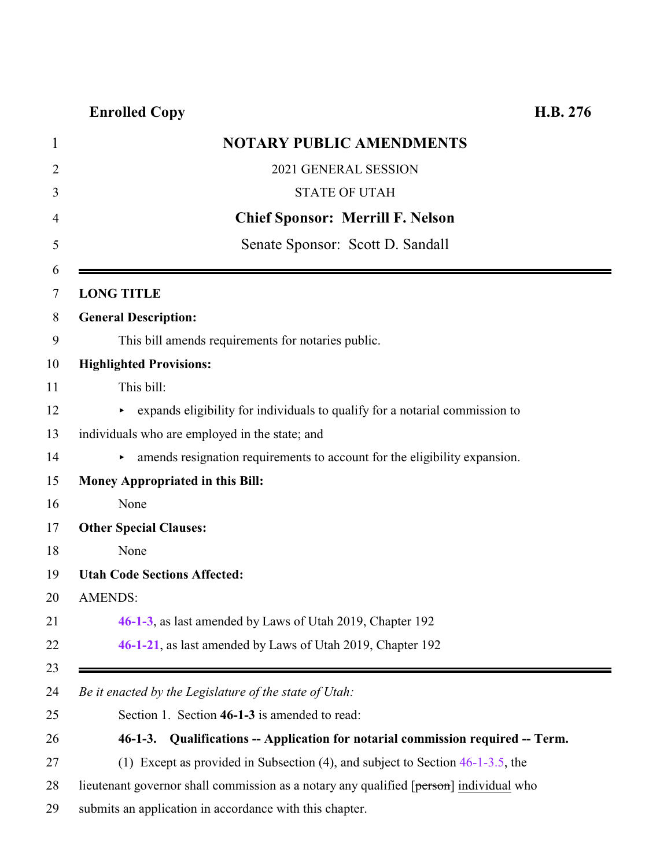# **Enrolled Copy H.B. 276**

<span id="page-0-0"></span>

|                   | <b>NOTARY PUBLIC AMENDMENTS</b>                                                        |
|-------------------|----------------------------------------------------------------------------------------|
|                   | 2021 GENERAL SESSION                                                                   |
|                   | <b>STATE OF UTAH</b>                                                                   |
|                   | <b>Chief Sponsor: Merrill F. Nelson</b>                                                |
|                   | Senate Sponsor: Scott D. Sandall                                                       |
| <b>LONG TITLE</b> |                                                                                        |
|                   | <b>General Description:</b>                                                            |
|                   | This bill amends requirements for notaries public.                                     |
|                   | <b>Highlighted Provisions:</b>                                                         |
|                   | This bill:                                                                             |
|                   | expands eligibility for individuals to qualify for a notarial commission to            |
|                   | individuals who are employed in the state; and                                         |
|                   | amends resignation requirements to account for the eligibility expansion.              |
|                   | <b>Money Appropriated in this Bill:</b>                                                |
| None              |                                                                                        |
|                   | <b>Other Special Clauses:</b>                                                          |
| None              |                                                                                        |
|                   | <b>Utah Code Sections Affected:</b>                                                    |
| <b>AMENDS:</b>    |                                                                                        |
|                   | 46-1-3, as last amended by Laws of Utah 2019, Chapter 192                              |
|                   | 46-1-21, as last amended by Laws of Utah 2019, Chapter 192                             |
|                   | Be it enacted by the Legislature of the state of Utah:                                 |
|                   | Section 1. Section 46-1-3 is amended to read:                                          |
|                   | 46-1-3. Qualifications -- Application for notarial commission required -- Term.        |
|                   | (1) Except as provided in Subsection (4), and subject to Section $46-1-3.5$ , the      |
|                   | lieutenant governor shall commission as a notary any qualified [person] individual who |

submits an application in accordance with this chapter.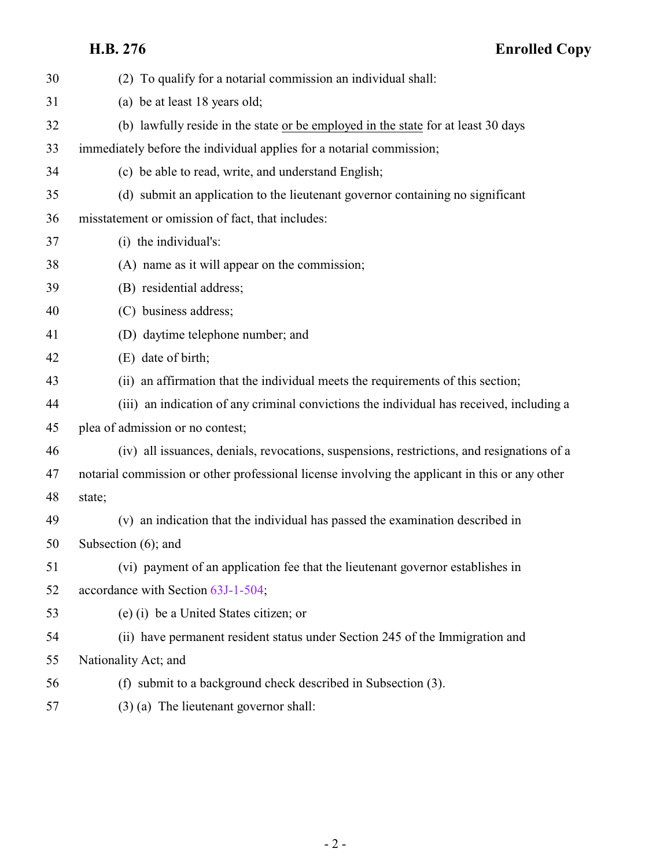# **H.B. 276 Enrolled Copy**

| 30 | (2) To qualify for a notarial commission an individual shall:                                  |
|----|------------------------------------------------------------------------------------------------|
| 31 | (a) be at least 18 years old;                                                                  |
| 32 | (b) lawfully reside in the state or be employed in the state for at least 30 days              |
| 33 | immediately before the individual applies for a notarial commission;                           |
| 34 | (c) be able to read, write, and understand English;                                            |
| 35 | (d) submit an application to the lieutenant governor containing no significant                 |
| 36 | misstatement or omission of fact, that includes:                                               |
| 37 | (i) the individual's:                                                                          |
| 38 | (A) name as it will appear on the commission;                                                  |
| 39 | (B) residential address;                                                                       |
| 40 | (C) business address;                                                                          |
| 41 | (D) daytime telephone number; and                                                              |
| 42 | (E) date of birth;                                                                             |
| 43 | (ii) an affirmation that the individual meets the requirements of this section;                |
| 44 | (iii) an indication of any criminal convictions the individual has received, including a       |
| 45 | plea of admission or no contest;                                                               |
| 46 | (iv) all issuances, denials, revocations, suspensions, restrictions, and resignations of a     |
| 47 | notarial commission or other professional license involving the applicant in this or any other |
| 48 | state;                                                                                         |
| 49 | (v) an indication that the individual has passed the examination described in                  |
| 50 | Subsection $(6)$ ; and                                                                         |
| 51 | (vi) payment of an application fee that the lieutenant governor establishes in                 |
| 52 | accordance with Section 63J-1-504;                                                             |
| 53 | (e) (i) be a United States citizen; or                                                         |
| 54 | (ii) have permanent resident status under Section 245 of the Immigration and                   |
| 55 | Nationality Act; and                                                                           |
| 56 | (f) submit to a background check described in Subsection (3).                                  |
| 57 | $(3)$ (a) The lieutenant governor shall:                                                       |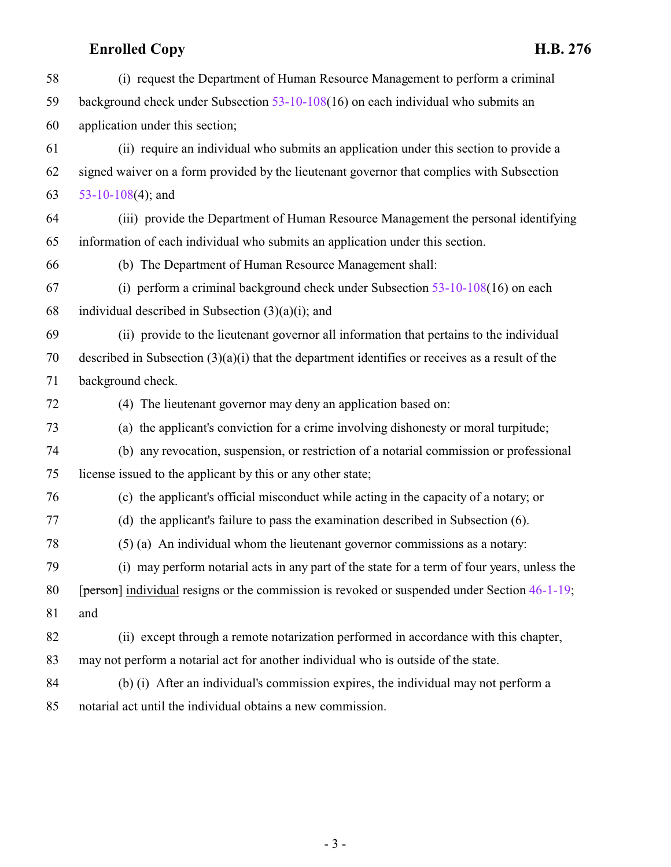# **Enrolled Copy H.B. 276**

| 58 | (i) request the Department of Human Resource Management to perform a criminal                     |
|----|---------------------------------------------------------------------------------------------------|
| 59 | background check under Subsection $53-10-108(16)$ on each individual who submits an               |
| 60 | application under this section;                                                                   |
| 61 | (ii) require an individual who submits an application under this section to provide a             |
| 62 | signed waiver on a form provided by the lieutenant governor that complies with Subsection         |
| 63 | 53-10-108(4); and                                                                                 |
| 64 | (iii) provide the Department of Human Resource Management the personal identifying                |
| 65 | information of each individual who submits an application under this section.                     |
| 66 | (b) The Department of Human Resource Management shall:                                            |
| 67 | (i) perform a criminal background check under Subsection $53-10-108(16)$ on each                  |
| 68 | individual described in Subsection $(3)(a)(i)$ ; and                                              |
| 69 | (ii) provide to the lieutenant governor all information that pertains to the individual           |
| 70 | described in Subsection $(3)(a)(i)$ that the department identifies or receives as a result of the |
| 71 | background check.                                                                                 |
| 72 | (4) The lieutenant governor may deny an application based on:                                     |
| 73 | (a) the applicant's conviction for a crime involving dishonesty or moral turpitude;               |
| 74 | (b) any revocation, suspension, or restriction of a notarial commission or professional           |
| 75 | license issued to the applicant by this or any other state;                                       |
| 76 | (c) the applicant's official misconduct while acting in the capacity of a notary; or              |
| 77 | (d) the applicant's failure to pass the examination described in Subsection (6).                  |
| 78 | $(5)$ (a) An individual whom the lieutenant governor commissions as a notary:                     |
| 79 | (i) may perform notarial acts in any part of the state for a term of four years, unless the       |
| 80 | [person] individual resigns or the commission is revoked or suspended under Section 46-1-19;      |
| 81 | and                                                                                               |
| 82 | (ii) except through a remote notarization performed in accordance with this chapter,              |
| 83 | may not perform a notarial act for another individual who is outside of the state.                |
| 84 | (b) (i) After an individual's commission expires, the individual may not perform a                |
| 85 | notarial act until the individual obtains a new commission.                                       |